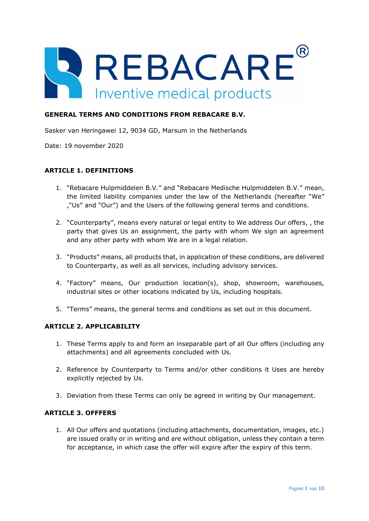

### **GENERAL TERMS AND CONDITIONS FROM REBACARE B.V.**

Sasker van Heringawei 12, 9034 GD, Marsum in the Netherlands

Date: 19 november 2020

### **ARTICLE 1. DEFINITIONS**

- 1. "Rebacare Hulpmiddelen B.V." and "Rebacare Medische Hulpmiddelen B.V." mean, the limited liability companies under the law of the Netherlands (hereafter "We" ,"Us" and "Our") and the Users of the following general terms and conditions.
- 2. "Counterparty", means every natural or legal entity to We address Our offers, , the party that gives Us an assignment, the party with whom We sign an agreement and any other party with whom We are in a legal relation.
- 3. "Products" means, all products that, in application of these conditions, are delivered to Counterparty, as well as all services, including advisory services.
- 4. "Factory" means, Our production location(s), shop, showroom, warehouses, industrial sites or other locations indicated by Us, including hospitals.
- 5. "Terms" means, the general terms and conditions as set out in this document.

### **ARTICLE 2. APPLICABILITY**

- 1. These Terms apply to and form an inseparable part of all Our offers (including any attachments) and all agreements concluded with Us.
- 2. Reference by Counterparty to Terms and/or other conditions it Uses are hereby explicitly rejected by Us.
- 3. Deviation from these Terms can only be agreed in writing by Our management.

### **ARTICLE 3. OFFFERS**

1. All Our offers and quotations (including attachments, documentation, images, etc.) are issued orally or in writing and are without obligation, unless they contain a term for acceptance, in which case the offer will expire after the expiry of this term.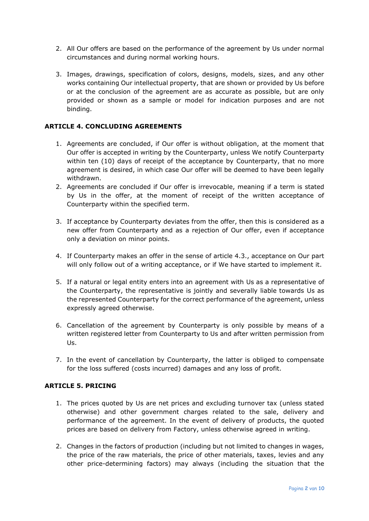- 2. All Our offers are based on the performance of the agreement by Us under normal circumstances and during normal working hours.
- 3. Images, drawings, specification of colors, designs, models, sizes, and any other works containing Our intellectual property, that are shown or provided by Us before or at the conclusion of the agreement are as accurate as possible, but are only provided or shown as a sample or model for indication purposes and are not binding.

# **ARTICLE 4. CONCLUDING AGREEMENTS**

- 1. Agreements are concluded, if Our offer is without obligation, at the moment that Our offer is accepted in writing by the Counterparty, unless We notify Counterparty within ten (10) days of receipt of the acceptance by Counterparty, that no more agreement is desired, in which case Our offer will be deemed to have been legally withdrawn.
- 2. Agreements are concluded if Our offer is irrevocable, meaning if a term is stated by Us in the offer, at the moment of receipt of the written acceptance of Counterparty within the specified term.
- 3. If acceptance by Counterparty deviates from the offer, then this is considered as a new offer from Counterparty and as a rejection of Our offer, even if acceptance only a deviation on minor points.
- 4. If Counterparty makes an offer in the sense of article 4.3., acceptance on Our part will only follow out of a writing acceptance, or if We have started to implement it.
- 5. If a natural or legal entity enters into an agreement with Us as a representative of the Counterparty, the representative is jointly and severally liable towards Us as the represented Counterparty for the correct performance of the agreement, unless expressly agreed otherwise.
- 6. Cancellation of the agreement by Counterparty is only possible by means of a written registered letter from Counterparty to Us and after written permission from Us.
- 7. In the event of cancellation by Counterparty, the latter is obliged to compensate for the loss suffered (costs incurred) damages and any loss of profit.

# **ARTICLE 5. PRICING**

- 1. The prices quoted by Us are net prices and excluding turnover tax (unless stated otherwise) and other government charges related to the sale, delivery and performance of the agreement. In the event of delivery of products, the quoted prices are based on delivery from Factory, unless otherwise agreed in writing.
- 2. Changes in the factors of production (including but not limited to changes in wages, the price of the raw materials, the price of other materials, taxes, levies and any other price-determining factors) may always (including the situation that the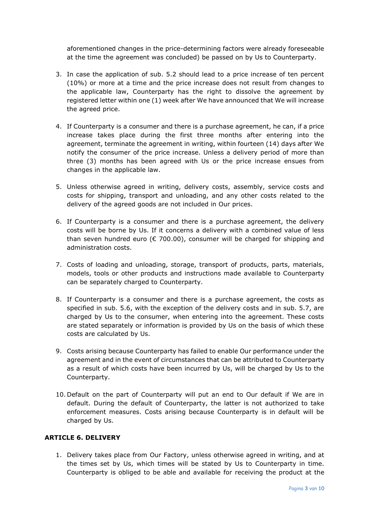aforementioned changes in the price-determining factors were already foreseeable at the time the agreement was concluded) be passed on by Us to Counterparty.

- 3. In case the application of sub. 5.2 should lead to a price increase of ten percent (10%) or more at a time and the price increase does not result from changes to the applicable law, Counterparty has the right to dissolve the agreement by registered letter within one (1) week after We have announced that We will increase the agreed price.
- 4. If Counterparty is a consumer and there is a purchase agreement, he can, if a price increase takes place during the first three months after entering into the agreement, terminate the agreement in writing, within fourteen (14) days after We notify the consumer of the price increase. Unless a delivery period of more than three (3) months has been agreed with Us or the price increase ensues from changes in the applicable law.
- 5. Unless otherwise agreed in writing, delivery costs, assembly, service costs and costs for shipping, transport and unloading, and any other costs related to the delivery of the agreed goods are not included in Our prices.
- 6. If Counterparty is a consumer and there is a purchase agreement, the delivery costs will be borne by Us. If it concerns a delivery with a combined value of less than seven hundred euro ( $\epsilon$  700.00), consumer will be charged for shipping and administration costs.
- 7. Costs of loading and unloading, storage, transport of products, parts, materials, models, tools or other products and instructions made available to Counterparty can be separately charged to Counterparty.
- 8. If Counterparty is a consumer and there is a purchase agreement, the costs as specified in sub. 5.6, with the exception of the delivery costs and in sub. 5.7, are charged by Us to the consumer, when entering into the agreement. These costs are stated separately or information is provided by Us on the basis of which these costs are calculated by Us.
- 9. Costs arising because Counterparty has failed to enable Our performance under the agreement and in the event of circumstances that can be attributed to Counterparty as a result of which costs have been incurred by Us, will be charged by Us to the Counterparty.
- 10. Default on the part of Counterparty will put an end to Our default if We are in default. During the default of Counterparty, the latter is not authorized to take enforcement measures. Costs arising because Counterparty is in default will be charged by Us.

# **ARTICLE 6. DELIVERY**

1. Delivery takes place from Our Factory, unless otherwise agreed in writing, and at the times set by Us, which times will be stated by Us to Counterparty in time. Counterparty is obliged to be able and available for receiving the product at the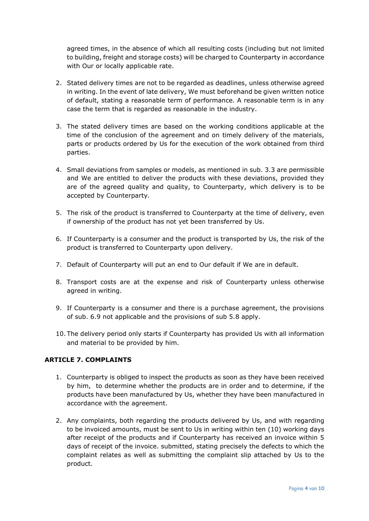agreed times, in the absence of which all resulting costs (including but not limited to building, freight and storage costs) will be charged to Counterparty in accordance with Our or locally applicable rate.

- 2. Stated delivery times are not to be regarded as deadlines, unless otherwise agreed in writing. In the event of late delivery, We must beforehand be given written notice of default, stating a reasonable term of performance. A reasonable term is in any case the term that is regarded as reasonable in the industry.
- 3. The stated delivery times are based on the working conditions applicable at the time of the conclusion of the agreement and on timely delivery of the materials, parts or products ordered by Us for the execution of the work obtained from third parties.
- 4. Small deviations from samples or models, as mentioned in sub. 3.3 are permissible and We are entitled to deliver the products with these deviations, provided they are of the agreed quality and quality, to Counterparty, which delivery is to be accepted by Counterparty.
- 5. The risk of the product is transferred to Counterparty at the time of delivery, even if ownership of the product has not yet been transferred by Us.
- 6. If Counterparty is a consumer and the product is transported by Us, the risk of the product is transferred to Counterparty upon delivery.
- 7. Default of Counterparty will put an end to Our default if We are in default.
- 8. Transport costs are at the expense and risk of Counterparty unless otherwise agreed in writing.
- 9. If Counterparty is a consumer and there is a purchase agreement, the provisions of sub. 6.9 not applicable and the provisions of sub 5.8 apply.
- 10. The delivery period only starts if Counterparty has provided Us with all information and material to be provided by him.

# **ARTICLE 7. COMPLAINTS**

- 1. Counterparty is obliged to inspect the products as soon as they have been received by him, to determine whether the products are in order and to determine, if the products have been manufactured by Us, whether they have been manufactured in accordance with the agreement.
- 2. Any complaints, both regarding the products delivered by Us, and with regarding to be invoiced amounts, must be sent to Us in writing within ten (10) working days after receipt of the products and if Counterparty has received an invoice within 5 days of receipt of the invoice. submitted, stating precisely the defects to which the complaint relates as well as submitting the complaint slip attached by Us to the product.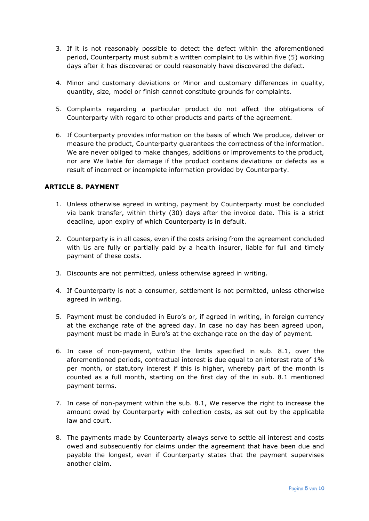- 3. If it is not reasonably possible to detect the defect within the aforementioned period, Counterparty must submit a written complaint to Us within five (5) working days after it has discovered or could reasonably have discovered the defect.
- 4. Minor and customary deviations or Minor and customary differences in quality, quantity, size, model or finish cannot constitute grounds for complaints.
- 5. Complaints regarding a particular product do not affect the obligations of Counterparty with regard to other products and parts of the agreement.
- 6. If Counterparty provides information on the basis of which We produce, deliver or measure the product, Counterparty guarantees the correctness of the information. We are never obliged to make changes, additions or improvements to the product, nor are We liable for damage if the product contains deviations or defects as a result of incorrect or incomplete information provided by Counterparty.

# **ARTICLE 8. PAYMENT**

- 1. Unless otherwise agreed in writing, payment by Counterparty must be concluded via bank transfer, within thirty (30) days after the invoice date. This is a strict deadline, upon expiry of which Counterparty is in default.
- 2. Counterparty is in all cases, even if the costs arising from the agreement concluded with Us are fully or partially paid by a health insurer, liable for full and timely payment of these costs.
- 3. Discounts are not permitted, unless otherwise agreed in writing.
- 4. If Counterparty is not a consumer, settlement is not permitted, unless otherwise agreed in writing.
- 5. Payment must be concluded in Euro's or, if agreed in writing, in foreign currency at the exchange rate of the agreed day. In case no day has been agreed upon, payment must be made in Euro's at the exchange rate on the day of payment.
- 6. In case of non-payment, within the limits specified in sub. 8.1, over the aforementioned periods, contractual interest is due equal to an interest rate of 1% per month, or statutory interest if this is higher, whereby part of the month is counted as a full month, starting on the first day of the in sub. 8.1 mentioned payment terms.
- 7. In case of non-payment within the sub. 8.1, We reserve the right to increase the amount owed by Counterparty with collection costs, as set out by the applicable law and court.
- 8. The payments made by Counterparty always serve to settle all interest and costs owed and subsequently for claims under the agreement that have been due and payable the longest, even if Counterparty states that the payment supervises another claim.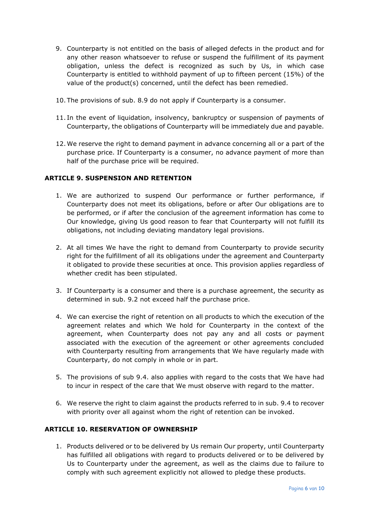- 9. Counterparty is not entitled on the basis of alleged defects in the product and for any other reason whatsoever to refuse or suspend the fulfillment of its payment obligation, unless the defect is recognized as such by Us, in which case Counterparty is entitled to withhold payment of up to fifteen percent (15%) of the value of the product(s) concerned, until the defect has been remedied.
- 10. The provisions of sub. 8.9 do not apply if Counterparty is a consumer.
- 11. In the event of liquidation, insolvency, bankruptcy or suspension of payments of Counterparty, the obligations of Counterparty will be immediately due and payable.
- 12. We reserve the right to demand payment in advance concerning all or a part of the purchase price. If Counterparty is a consumer, no advance payment of more than half of the purchase price will be required.

### **ARTICLE 9. SUSPENSION AND RETENTION**

- 1. We are authorized to suspend Our performance or further performance, if Counterparty does not meet its obligations, before or after Our obligations are to be performed, or if after the conclusion of the agreement information has come to Our knowledge, giving Us good reason to fear that Counterparty will not fulfill its obligations, not including deviating mandatory legal provisions.
- 2. At all times We have the right to demand from Counterparty to provide security right for the fulfillment of all its obligations under the agreement and Counterparty it obligated to provide these securities at once. This provision applies regardless of whether credit has been stipulated.
- 3. If Counterparty is a consumer and there is a purchase agreement, the security as determined in sub. 9.2 not exceed half the purchase price.
- 4. We can exercise the right of retention on all products to which the execution of the agreement relates and which We hold for Counterparty in the context of the agreement, when Counterparty does not pay any and all costs or payment associated with the execution of the agreement or other agreements concluded with Counterparty resulting from arrangements that We have regularly made with Counterparty, do not comply in whole or in part.
- 5. The provisions of sub 9.4. also applies with regard to the costs that We have had to incur in respect of the care that We must observe with regard to the matter.
- 6. We reserve the right to claim against the products referred to in sub. 9.4 to recover with priority over all against whom the right of retention can be invoked.

## **ARTICLE 10. RESERVATION OF OWNERSHIP**

1. Products delivered or to be delivered by Us remain Our property, until Counterparty has fulfilled all obligations with regard to products delivered or to be delivered by Us to Counterparty under the agreement, as well as the claims due to failure to comply with such agreement explicitly not allowed to pledge these products.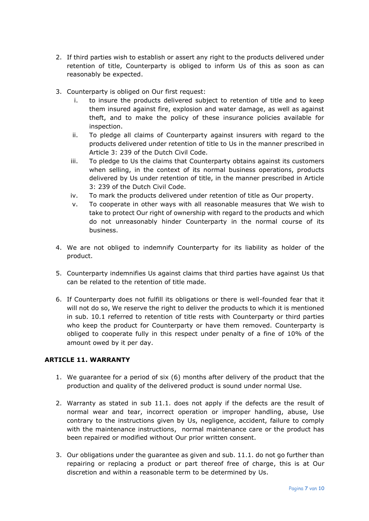- 2. If third parties wish to establish or assert any right to the products delivered under retention of title, Counterparty is obliged to inform Us of this as soon as can reasonably be expected.
- 3. Counterparty is obliged on Our first request:
	- i. to insure the products delivered subject to retention of title and to keep them insured against fire, explosion and water damage, as well as against theft, and to make the policy of these insurance policies available for inspection.
	- ii. To pledge all claims of Counterparty against insurers with regard to the products delivered under retention of title to Us in the manner prescribed in Article 3: 239 of the Dutch Civil Code.
	- iii. To pledge to Us the claims that Counterparty obtains against its customers when selling, in the context of its normal business operations, products delivered by Us under retention of title, in the manner prescribed in Article 3: 239 of the Dutch Civil Code.
	- iv. To mark the products delivered under retention of title as Our property.
	- v. To cooperate in other ways with all reasonable measures that We wish to take to protect Our right of ownership with regard to the products and which do not unreasonably hinder Counterparty in the normal course of its business.
- 4. We are not obliged to indemnify Counterparty for its liability as holder of the product.
- 5. Counterparty indemnifies Us against claims that third parties have against Us that can be related to the retention of title made.
- 6. If Counterparty does not fulfill its obligations or there is well-founded fear that it will not do so, We reserve the right to deliver the products to which it is mentioned in sub. 10.1 referred to retention of title rests with Counterparty or third parties who keep the product for Counterparty or have them removed. Counterparty is obliged to cooperate fully in this respect under penalty of a fine of 10% of the amount owed by it per day.

### **ARTICLE 11. WARRANTY**

- 1. We guarantee for a period of six (6) months after delivery of the product that the production and quality of the delivered product is sound under normal Use.
- 2. Warranty as stated in sub 11.1. does not apply if the defects are the result of normal wear and tear, incorrect operation or improper handling, abuse, Use contrary to the instructions given by Us, negligence, accident, failure to comply with the maintenance instructions, normal maintenance care or the product has been repaired or modified without Our prior written consent.
- 3. Our obligations under the guarantee as given and sub. 11.1. do not go further than repairing or replacing a product or part thereof free of charge, this is at Our discretion and within a reasonable term to be determined by Us.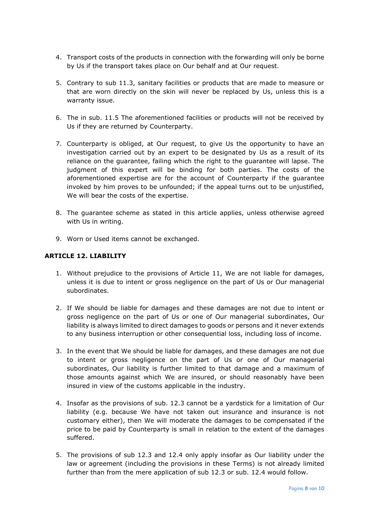- 4. Transport costs of the products in connection with the forwarding will only be borne by Us if the transport takes place on Our behalf and at Our request.
- 5. Contrary to sub 11.3, sanitary facilities or products that are made to measure or that are worn directly on the skin will never be replaced by Us, unless this is a warranty issue.
- 6. The in sub. 11.5 The aforementioned facilities or products will not be received by Us if they are returned by Counterparty.
- 7. Counterparty is obliged, at Our request, to give Us the opportunity to have an investigation carried out by an expert to be designated by Us as a result of its reliance on the guarantee, failing which the right to the guarantee will lapse. The judgment of this expert will be binding for both parties. The costs of the aforementioned expertise are for the account of Counterparty if the guarantee invoked by him proves to be unfounded; if the appeal turns out to be unjustified, We will bear the costs of the expertise.
- 8. The guarantee scheme as stated in this article applies, unless otherwise agreed with Us in writing.
- 9. Worn or Used items cannot be exchanged.

## **ARTICLE 12. LIABILITY**

- 1. Without prejudice to the provisions of Article 11, We are not liable for damages, unless it is due to intent or gross negligence on the part of Us or Our managerial subordinates.
- 2. If We should be liable for damages and these damages are not due to intent or gross negligence on the part of Us or one of Our managerial subordinates, Our liability is always limited to direct damages to goods or persons and it never extends to any business interruption or other consequential loss, including loss of income.
- 3. In the event that We should be liable for damages, and these damages are not due to intent or gross negligence on the part of Us or one of Our managerial subordinates, Our liability is further limited to that damage and a maximum of those amounts against which We are insured, or should reasonably have been insured in view of the customs applicable in the industry.
- 4. Insofar as the provisions of sub. 12.3 cannot be a yardstick for a limitation of Our liability (e.g. because We have not taken out insurance and insurance is not customary either), then We will moderate the damages to be compensated if the price to be paid by Counterparty is small in relation to the extent of the damages suffered.
- 5. The provisions of sub 12.3 and 12.4 only apply insofar as Our liability under the law or agreement (including the provisions in these Terms) is not already limited further than from the mere application of sub 12.3 or sub. 12.4 would follow.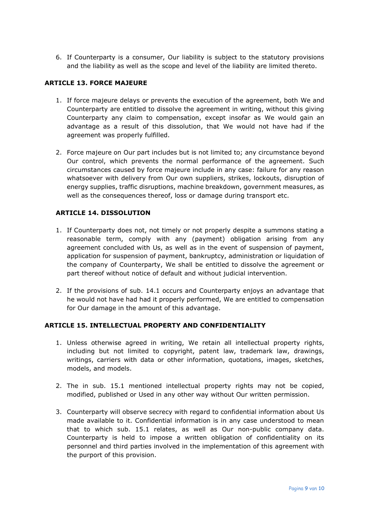6. If Counterparty is a consumer, Our liability is subject to the statutory provisions and the liability as well as the scope and level of the liability are limited thereto.

# **ARTICLE 13. FORCE MAJEURE**

- 1. If force majeure delays or prevents the execution of the agreement, both We and Counterparty are entitled to dissolve the agreement in writing, without this giving Counterparty any claim to compensation, except insofar as We would gain an advantage as a result of this dissolution, that We would not have had if the agreement was properly fulfilled.
- 2. Force majeure on Our part includes but is not limited to; any circumstance beyond Our control, which prevents the normal performance of the agreement. Such circumstances caused by force majeure include in any case: failure for any reason whatsoever with delivery from Our own suppliers, strikes, lockouts, disruption of energy supplies, traffic disruptions, machine breakdown, government measures, as well as the consequences thereof, loss or damage during transport etc.

### **ARTICLE 14. DISSOLUTION**

- 1. If Counterparty does not, not timely or not properly despite a summons stating a reasonable term, comply with any (payment) obligation arising from any agreement concluded with Us, as well as in the event of suspension of payment, application for suspension of payment, bankruptcy, administration or liquidation of the company of Counterparty, We shall be entitled to dissolve the agreement or part thereof without notice of default and without judicial intervention.
- 2. If the provisions of sub. 14.1 occurs and Counterparty enjoys an advantage that he would not have had had it properly performed, We are entitled to compensation for Our damage in the amount of this advantage.

### **ARTICLE 15. INTELLECTUAL PROPERTY AND CONFIDENTIALITY**

- 1. Unless otherwise agreed in writing, We retain all intellectual property rights, including but not limited to copyright, patent law, trademark law, drawings, writings, carriers with data or other information, quotations, images, sketches, models, and models.
- 2. The in sub. 15.1 mentioned intellectual property rights may not be copied, modified, published or Used in any other way without Our written permission.
- 3. Counterparty will observe secrecy with regard to confidential information about Us made available to it. Confidential information is in any case understood to mean that to which sub. 15.1 relates, as well as Our non-public company data. Counterparty is held to impose a written obligation of confidentiality on its personnel and third parties involved in the implementation of this agreement with the purport of this provision.